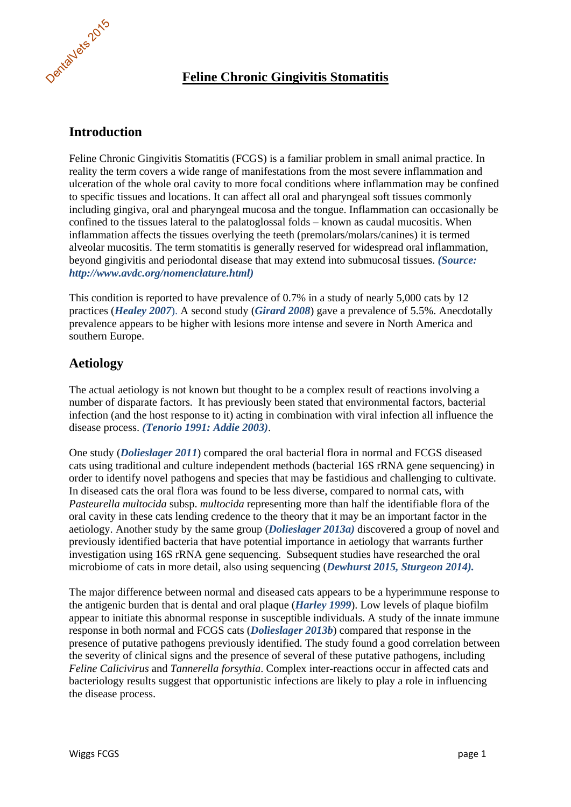

# **Feline Chronic Gingivitis Stomatitis**

# **Introduction**

Feline Chronic Gingivitis Stomatitis (FCGS) is a familiar problem in small animal practice. In reality the term covers a wide range of manifestations from the most severe inflammation and ulceration of the whole oral cavity to more focal conditions where inflammation may be confined to specific tissues and locations. It can affect all oral and pharyngeal soft tissues commonly including gingiva, oral and pharyngeal mucosa and the tongue. Inflammation can occasionally be confined to the tissues lateral to the palatoglossal folds – known as caudal mucositis. When inflammation affects the tissues overlying the teeth (premolars/molars/canines) it is termed alveolar mucositis. The term stomatitis is generally reserved for widespread oral inflammation, beyond gingivitis and periodontal disease that may extend into submucosal tissues. *(Source: http://www.avdc.org/nomenclature.html)* 

This condition is reported to have prevalence of 0.7% in a study of nearly 5,000 cats by 12 practices (*Healey 2007*). A second study (*Girard 2008*) gave a prevalence of 5.5%. Anecdotally prevalence appears to be higher with lesions more intense and severe in North America and southern Europe.

# **Aetiology**

The actual aetiology is not known but thought to be a complex result of reactions involving a number of disparate factors. It has previously been stated that environmental factors, bacterial infection (and the host response to it) acting in combination with viral infection all influence the disease process. *(Tenorio 1991: Addie 2003)*.

One study (*Dolieslager 2011*) compared the oral bacterial flora in normal and FCGS diseased cats using traditional and culture independent methods (bacterial 16S rRNA gene sequencing) in order to identify novel pathogens and species that may be fastidious and challenging to cultivate. In diseased cats the oral flora was found to be less diverse, compared to normal cats, with *Pasteurella multocida* subsp. *multocida* representing more than half the identifiable flora of the oral cavity in these cats lending credence to the theory that it may be an important factor in the aetiology. Another study by the same group (*Dolieslager 2013a)* discovered a group of novel and previously identified bacteria that have potential importance in aetiology that warrants further investigation using 16S rRNA gene sequencing. Subsequent studies have researched the oral microbiome of cats in more detail, also using sequencing (*Dewhurst 2015, Sturgeon 2014).*

The major difference between normal and diseased cats appears to be a hyperimmune response to the antigenic burden that is dental and oral plaque (*Harley 1999*). Low levels of plaque biofilm appear to initiate this abnormal response in susceptible individuals. A study of the innate immune response in both normal and FCGS cats (*Dolieslager 2013b*) compared that response in the presence of putative pathogens previously identified. The study found a good correlation between the severity of clinical signs and the presence of several of these putative pathogens, including *Feline Calicivirus* and *Tannerella forsythia*. Complex inter-reactions occur in affected cats and bacteriology results suggest that opportunistic infections are likely to play a role in influencing the disease process.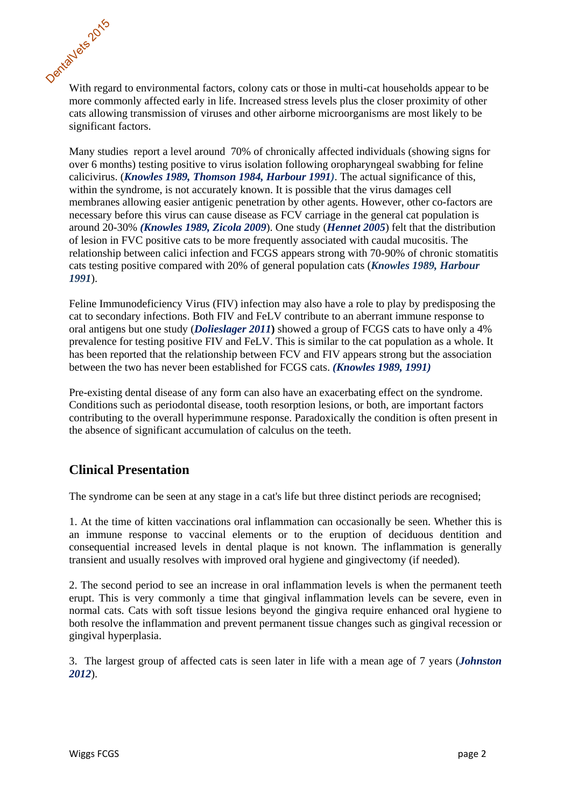

With regard to environmental factors, colony cats or those in multi-cat households appear to be more commonly affected early in life. Increased stress levels plus the closer proximity of other cats allowing transmission of viruses and other airborne microorganisms are most likely to be significant factors.

Many studies report a level around 70% of chronically affected individuals (showing signs for over 6 months) testing positive to virus isolation following oropharyngeal swabbing for feline calicivirus. (*Knowles 1989, Thomson 1984, Harbour 1991)*. The actual significance of this, within the syndrome, is not accurately known. It is possible that the virus damages cell membranes allowing easier antigenic penetration by other agents. However, other co-factors are necessary before this virus can cause disease as FCV carriage in the general cat population is around 20-30% *(Knowles 1989, Zicola 2009*). One study (*Hennet 2005*) felt that the distribution of lesion in FVC positive cats to be more frequently associated with caudal mucositis. The relationship between calici infection and FCGS appears strong with 70-90% of chronic stomatitis cats testing positive compared with 20% of general population cats (*Knowles 1989, Harbour 1991*).

Feline Immunodeficiency Virus (FIV) infection may also have a role to play by predisposing the cat to secondary infections. Both FIV and FeLV contribute to an aberrant immune response to oral antigens but one study (*Dolieslager 2011***)** showed a group of FCGS cats to have only a 4% prevalence for testing positive FIV and FeLV. This is similar to the cat population as a whole. It has been reported that the relationship between FCV and FIV appears strong but the association between the two has never been established for FCGS cats. *(Knowles 1989, 1991)*

Pre-existing dental disease of any form can also have an exacerbating effect on the syndrome. Conditions such as periodontal disease, tooth resorption lesions, or both, are important factors contributing to the overall hyperimmune response. Paradoxically the condition is often present in the absence of significant accumulation of calculus on the teeth.

# **Clinical Presentation**

The syndrome can be seen at any stage in a cat's life but three distinct periods are recognised;

1. At the time of kitten vaccinations oral inflammation can occasionally be seen. Whether this is an immune response to vaccinal elements or to the eruption of deciduous dentition and consequential increased levels in dental plaque is not known. The inflammation is generally transient and usually resolves with improved oral hygiene and gingivectomy (if needed).

2. The second period to see an increase in oral inflammation levels is when the permanent teeth erupt. This is very commonly a time that gingival inflammation levels can be severe, even in normal cats. Cats with soft tissue lesions beyond the gingiva require enhanced oral hygiene to both resolve the inflammation and prevent permanent tissue changes such as gingival recession or gingival hyperplasia.

3. The largest group of affected cats is seen later in life with a mean age of 7 years (*Johnston 2012*).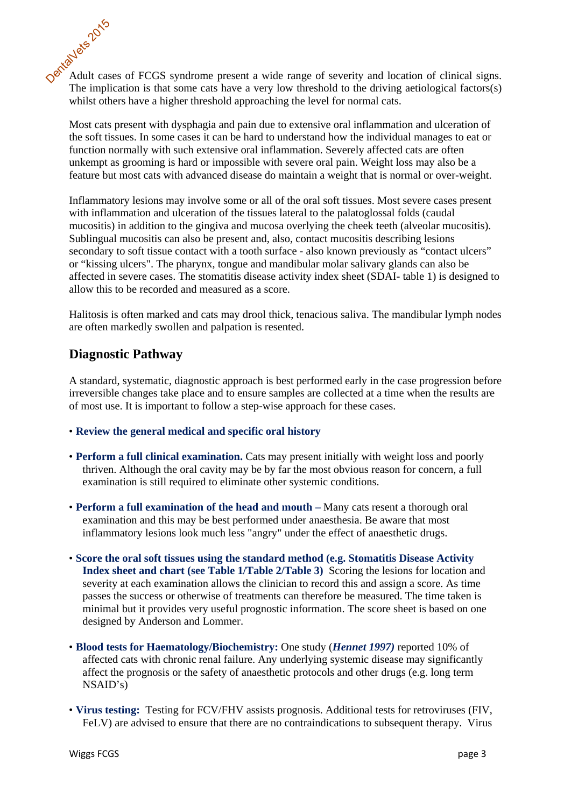Adult cases of FCGS syndrome present a wide range of severity and location of clinical signs. The implication is that some cats have a very low threshold to the driving aetiological factors(s) whilst others have a higher threshold approaching the level for normal cats. DentalVets 2015

Most cats present with dysphagia and pain due to extensive oral inflammation and ulceration of the soft tissues. In some cases it can be hard to understand how the individual manages to eat or function normally with such extensive oral inflammation. Severely affected cats are often unkempt as grooming is hard or impossible with severe oral pain. Weight loss may also be a feature but most cats with advanced disease do maintain a weight that is normal or over-weight.

Inflammatory lesions may involve some or all of the oral soft tissues. Most severe cases present with inflammation and ulceration of the tissues lateral to the palatoglossal folds (caudal mucositis) in addition to the gingiva and mucosa overlying the cheek teeth (alveolar mucositis). Sublingual mucositis can also be present and, also, contact mucositis describing lesions secondary to soft tissue contact with a tooth surface - also known previously as "contact ulcers" or "kissing ulcers". The pharynx, tongue and mandibular molar salivary glands can also be affected in severe cases. The stomatitis disease activity index sheet (SDAI- table 1) is designed to allow this to be recorded and measured as a score.

Halitosis is often marked and cats may drool thick, tenacious saliva. The mandibular lymph nodes are often markedly swollen and palpation is resented.

# **Diagnostic Pathway**

A standard, systematic, diagnostic approach is best performed early in the case progression before irreversible changes take place and to ensure samples are collected at a time when the results are of most use. It is important to follow a step-wise approach for these cases.

- **Review the general medical and specific oral history**
- **Perform a full clinical examination.** Cats may present initially with weight loss and poorly thriven. Although the oral cavity may be by far the most obvious reason for concern, a full examination is still required to eliminate other systemic conditions.
- **Perform a full examination of the head and mouth** Many cats resent a thorough oral examination and this may be best performed under anaesthesia. Be aware that most inflammatory lesions look much less "angry" under the effect of anaesthetic drugs.
- **Score the oral soft tissues using the standard method (e.g. Stomatitis Disease Activity Index sheet and chart (see Table 1/Table 2/Table 3)** Scoring the lesions for location and severity at each examination allows the clinician to record this and assign a score. As time passes the success or otherwise of treatments can therefore be measured. The time taken is minimal but it provides very useful prognostic information. The score sheet is based on one designed by Anderson and Lommer.
- **Blood tests for Haematology/Biochemistry:** One study (*Hennet 1997)* reported 10% of affected cats with chronic renal failure. Any underlying systemic disease may significantly affect the prognosis or the safety of anaesthetic protocols and other drugs (e.g. long term NSAID's)
- **Virus testing:** Testing for FCV/FHV assists prognosis. Additional tests for retroviruses (FIV, FeLV) are advised to ensure that there are no contraindications to subsequent therapy. Virus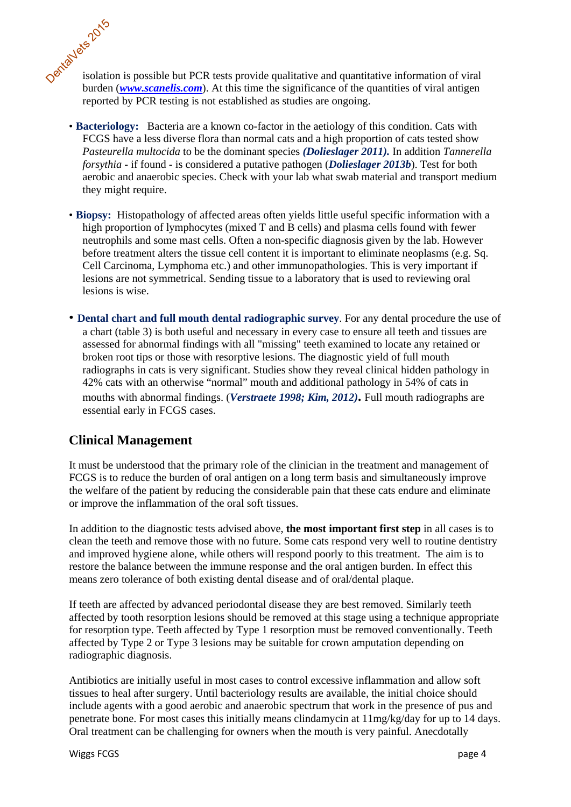isolation is possible but PCR tests provide qualitative and quantitative information of viral burden (*www.scanelis.com*). At this time the significance of the quantities of viral antigen reported by PCR testing is not established as studies are ongoing. DentalVets 2015

- **Bacteriology:** Bacteria are a known co-factor in the aetiology of this condition. Cats with FCGS have a less diverse flora than normal cats and a high proportion of cats tested show *Pasteurella multocida* to be the dominant species *(Dolieslager 2011).* In addition *Tannerella forsythia* - if found - is considered a putative pathogen (*Dolieslager 2013b*). Test for both aerobic and anaerobic species. Check with your lab what swab material and transport medium they might require.
- **Biopsy:** Histopathology of affected areas often yields little useful specific information with a high proportion of lymphocytes (mixed T and B cells) and plasma cells found with fewer neutrophils and some mast cells. Often a non-specific diagnosis given by the lab. However before treatment alters the tissue cell content it is important to eliminate neoplasms (e.g. Sq. Cell Carcinoma, Lymphoma etc.) and other immunopathologies. This is very important if lesions are not symmetrical. Sending tissue to a laboratory that is used to reviewing oral lesions is wise.
- **Dental chart and full mouth dental radiographic survey**. For any dental procedure the use of a chart (table 3) is both useful and necessary in every case to ensure all teeth and tissues are assessed for abnormal findings with all "missing" teeth examined to locate any retained or broken root tips or those with resorptive lesions. The diagnostic yield of full mouth radiographs in cats is very significant. Studies show they reveal clinical hidden pathology in 42% cats with an otherwise "normal" mouth and additional pathology in 54% of cats in mouths with abnormal findings. (*Verstraete 1998; Kim, 2012)***.** Full mouth radiographs are essential early in FCGS cases.

# **Clinical Management**

It must be understood that the primary role of the clinician in the treatment and management of FCGS is to reduce the burden of oral antigen on a long term basis and simultaneously improve the welfare of the patient by reducing the considerable pain that these cats endure and eliminate or improve the inflammation of the oral soft tissues.

In addition to the diagnostic tests advised above, **the most important first step** in all cases is to clean the teeth and remove those with no future. Some cats respond very well to routine dentistry and improved hygiene alone, while others will respond poorly to this treatment. The aim is to restore the balance between the immune response and the oral antigen burden. In effect this means zero tolerance of both existing dental disease and of oral/dental plaque.

If teeth are affected by advanced periodontal disease they are best removed. Similarly teeth affected by tooth resorption lesions should be removed at this stage using a technique appropriate for resorption type. Teeth affected by Type 1 resorption must be removed conventionally. Teeth affected by Type 2 or Type 3 lesions may be suitable for crown amputation depending on radiographic diagnosis.

Antibiotics are initially useful in most cases to control excessive inflammation and allow soft tissues to heal after surgery. Until bacteriology results are available, the initial choice should include agents with a good aerobic and anaerobic spectrum that work in the presence of pus and penetrate bone. For most cases this initially means clindamycin at 11mg/kg/day for up to 14 days. Oral treatment can be challenging for owners when the mouth is very painful. Anecdotally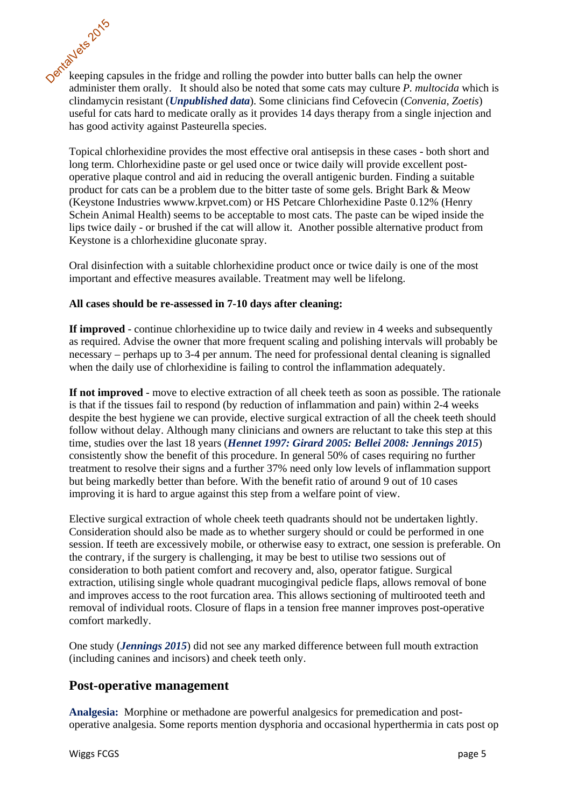keeping capsules in the fridge and rolling the powder into butter balls can help the owner administer them orally. It should also be noted that some cats may culture *P. multocida* which is clindamycin resistant (*Unpublished data*). Some clinicians find Cefovecin (*Convenia, Zoetis*) useful for cats hard to medicate orally as it provides 14 days therapy from a single injection and has good activity against Pasteurella species. DentalVets 2015

Topical chlorhexidine provides the most effective oral antisepsis in these cases - both short and long term. Chlorhexidine paste or gel used once or twice daily will provide excellent postoperative plaque control and aid in reducing the overall antigenic burden. Finding a suitable product for cats can be a problem due to the bitter taste of some gels. Bright Bark & Meow (Keystone Industries wwww.krpvet.com) or HS Petcare Chlorhexidine Paste 0.12% (Henry Schein Animal Health) seems to be acceptable to most cats. The paste can be wiped inside the lips twice daily - or brushed if the cat will allow it. Another possible alternative product from Keystone is a chlorhexidine gluconate spray.

Oral disinfection with a suitable chlorhexidine product once or twice daily is one of the most important and effective measures available. Treatment may well be lifelong.

#### **All cases should be re-assessed in 7-10 days after cleaning:**

**If improved** - continue chlorhexidine up to twice daily and review in 4 weeks and subsequently as required. Advise the owner that more frequent scaling and polishing intervals will probably be necessary – perhaps up to 3-4 per annum. The need for professional dental cleaning is signalled when the daily use of chlorhexidine is failing to control the inflammation adequately.

**If not improved** - move to elective extraction of all cheek teeth as soon as possible. The rationale is that if the tissues fail to respond (by reduction of inflammation and pain) within 2-4 weeks despite the best hygiene we can provide, elective surgical extraction of all the cheek teeth should follow without delay. Although many clinicians and owners are reluctant to take this step at this time, studies over the last 18 years (*Hennet 1997: Girard 2005: Bellei 2008: Jennings 2015*) consistently show the benefit of this procedure. In general 50% of cases requiring no further treatment to resolve their signs and a further 37% need only low levels of inflammation support but being markedly better than before. With the benefit ratio of around 9 out of 10 cases improving it is hard to argue against this step from a welfare point of view.

Elective surgical extraction of whole cheek teeth quadrants should not be undertaken lightly. Consideration should also be made as to whether surgery should or could be performed in one session. If teeth are excessively mobile, or otherwise easy to extract, one session is preferable. On the contrary, if the surgery is challenging, it may be best to utilise two sessions out of consideration to both patient comfort and recovery and, also, operator fatigue. Surgical extraction, utilising single whole quadrant mucogingival pedicle flaps, allows removal of bone and improves access to the root furcation area. This allows sectioning of multirooted teeth and removal of individual roots. Closure of flaps in a tension free manner improves post-operative comfort markedly.

One study (*Jennings 2015*) did not see any marked difference between full mouth extraction (including canines and incisors) and cheek teeth only.

# **Post-operative management**

**Analgesia:** Morphine or methadone are powerful analgesics for premedication and postoperative analgesia. Some reports mention dysphoria and occasional hyperthermia in cats post op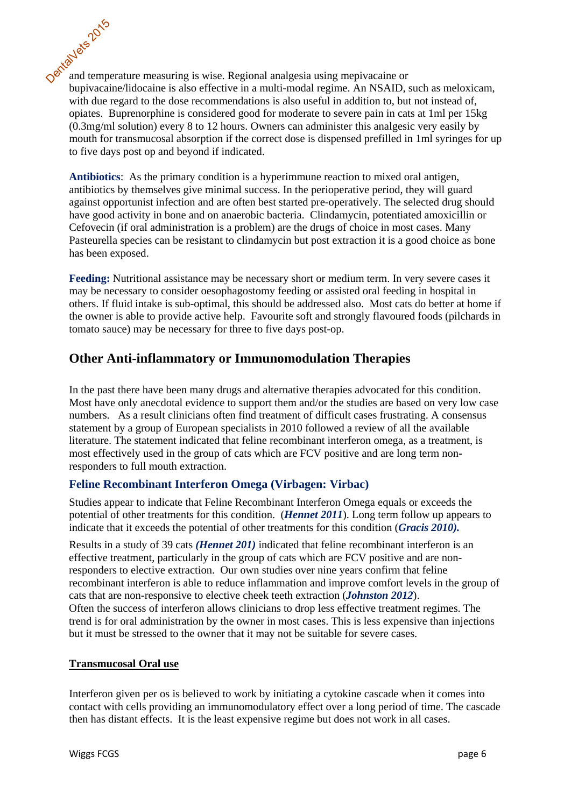and temperature measuring is wise. Regional analgesia using mepivacaine or bupivacaine/lidocaine is also effective in a multi-modal regime. An NSAID, such as meloxicam, with due regard to the dose recommendations is also useful in addition to, but not instead of, opiates. Buprenorphine is considered good for moderate to severe pain in cats at 1ml per 15kg (0.3mg/ml solution) every 8 to 12 hours. Owners can administer this analgesic very easily by mouth for transmucosal absorption if the correct dose is dispensed prefilled in 1ml syringes for up to five days post op and beyond if indicated. DentalVets 2015

**Antibiotics**: As the primary condition is a hyperimmune reaction to mixed oral antigen, antibiotics by themselves give minimal success. In the perioperative period, they will guard against opportunist infection and are often best started pre-operatively. The selected drug should have good activity in bone and on anaerobic bacteria. Clindamycin, potentiated amoxicillin or Cefovecin (if oral administration is a problem) are the drugs of choice in most cases. Many Pasteurella species can be resistant to clindamycin but post extraction it is a good choice as bone has been exposed.

**Feeding:** Nutritional assistance may be necessary short or medium term. In very severe cases it may be necessary to consider oesophagostomy feeding or assisted oral feeding in hospital in others. If fluid intake is sub-optimal, this should be addressed also. Most cats do better at home if the owner is able to provide active help. Favourite soft and strongly flavoured foods (pilchards in tomato sauce) may be necessary for three to five days post-op.

# **Other Anti-inflammatory or Immunomodulation Therapies**

In the past there have been many drugs and alternative therapies advocated for this condition. Most have only anecdotal evidence to support them and/or the studies are based on very low case numbers. As a result clinicians often find treatment of difficult cases frustrating. A consensus statement by a group of European specialists in 2010 followed a review of all the available literature. The statement indicated that feline recombinant interferon omega, as a treatment, is most effectively used in the group of cats which are FCV positive and are long term nonresponders to full mouth extraction.

#### **Feline Recombinant Interferon Omega (Virbagen: Virbac)**

Studies appear to indicate that Feline Recombinant Interferon Omega equals or exceeds the potential of other treatments for this condition. (*Hennet 2011*). Long term follow up appears to indicate that it exceeds the potential of other treatments for this condition (*Gracis 2010).* 

Results in a study of 39 cats *(Hennet 201)* indicated that feline recombinant interferon is an effective treatment, particularly in the group of cats which are FCV positive and are nonresponders to elective extraction. Our own studies over nine years confirm that feline recombinant interferon is able to reduce inflammation and improve comfort levels in the group of cats that are non-responsive to elective cheek teeth extraction (*Johnston 2012*). Often the success of interferon allows clinicians to drop less effective treatment regimes. The trend is for oral administration by the owner in most cases. This is less expensive than injections but it must be stressed to the owner that it may not be suitable for severe cases.

#### **Transmucosal Oral use**

Interferon given per os is believed to work by initiating a cytokine cascade when it comes into contact with cells providing an immunomodulatory effect over a long period of time. The cascade then has distant effects. It is the least expensive regime but does not work in all cases.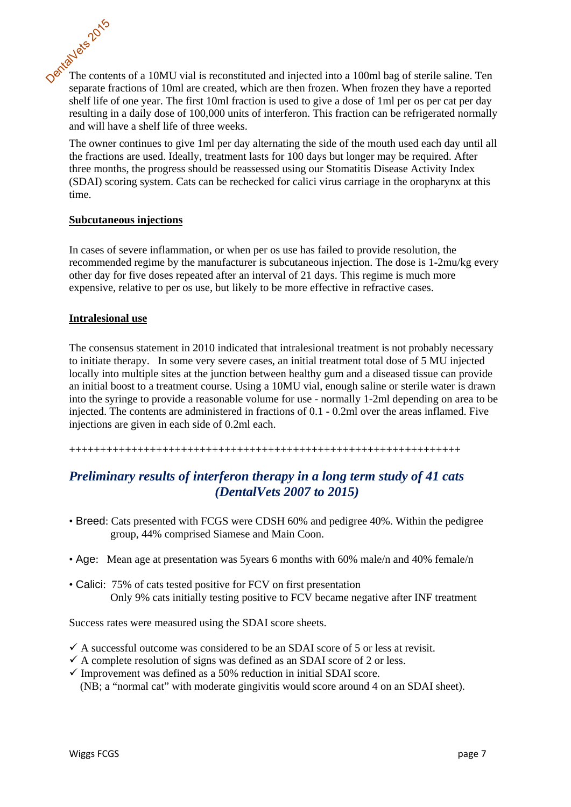The contents of a 10MU vial is reconstituted and injected into a 100ml bag of sterile saline. Ten separate fractions of 10ml are created, which are then frozen. When frozen they have a reported shelf life of one year. The first 10ml fraction is used to give a dose of 1ml per os per cat per day resulting in a daily dose of 100,000 units of interferon. This fraction can be refrigerated normally and will have a shelf life of three weeks. DentalVets 2015

The owner continues to give 1ml per day alternating the side of the mouth used each day until all the fractions are used. Ideally, treatment lasts for 100 days but longer may be required. After three months, the progress should be reassessed using our Stomatitis Disease Activity Index (SDAI) scoring system. Cats can be rechecked for calici virus carriage in the oropharynx at this time.

#### **Subcutaneous injections**

In cases of severe inflammation, or when per os use has failed to provide resolution, the recommended regime by the manufacturer is subcutaneous injection. The dose is 1-2mu/kg every other day for five doses repeated after an interval of 21 days. This regime is much more expensive, relative to per os use, but likely to be more effective in refractive cases.

#### **Intralesional use**

The consensus statement in 2010 indicated that intralesional treatment is not probably necessary to initiate therapy.In some very severe cases, an initial treatment total dose of 5 MU injected locally into multiple sites at the junction between healthy gum and a diseased tissue can provide an initial boost to a treatment course. Using a 10MU vial, enough saline or sterile water is drawn into the syringe to provide a reasonable volume for use - normally 1-2ml depending on area to be injected. The contents are administered in fractions of 0.1 - 0.2ml over the areas inflamed. Five injections are given in each side of 0.2ml each.

+++++++++++++++++++++++++++++++++++++++++++++++++++++++++++++++

# *Preliminary results of interferon therapy in a long term study of 41 cats (DentalVets 2007 to 2015)*

- Breed: Cats presented with FCGS were CDSH 60% and pedigree 40%. Within the pedigree group, 44% comprised Siamese and Main Coon.
- Age: Mean age at presentation was 5years 6 months with 60% male/n and 40% female/n
- Calici: 75% of cats tested positive for FCV on first presentation Only 9% cats initially testing positive to FCV became negative after INF treatment

Success rates were measured using the SDAI score sheets.

- $\checkmark$  A successful outcome was considered to be an SDAI score of 5 or less at revisit.
- $\checkmark$  A complete resolution of signs was defined as an SDAI score of 2 or less.
- $\checkmark$  Improvement was defined as a 50% reduction in initial SDAI score. (NB; a "normal cat" with moderate gingivitis would score around 4 on an SDAI sheet).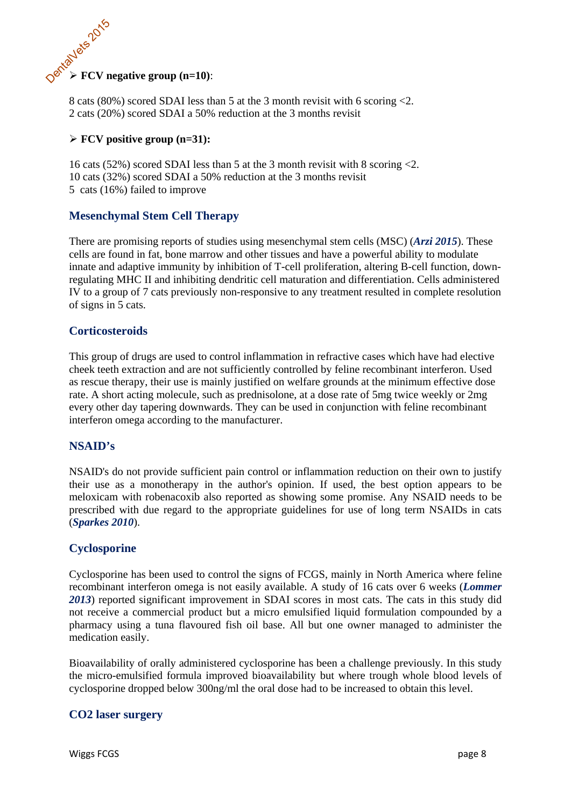# **FCV** negative group (n=10):

8 cats (80%) scored SDAI less than 5 at the 3 month revisit with 6 scoring <2. 2 cats (20%) scored SDAI a 50% reduction at the 3 months revisit

#### **FCV positive group (n=31):**

16 cats (52%) scored SDAI less than 5 at the 3 month revisit with 8 scoring <2. 10 cats (32%) scored SDAI a 50% reduction at the 3 months revisit 5 cats (16%) failed to improve

# **Mesenchymal Stem Cell Therapy**

There are promising reports of studies using mesenchymal stem cells (MSC) (*Arzi 2015*). These cells are found in fat, bone marrow and other tissues and have a powerful ability to modulate innate and adaptive immunity by inhibition of T-cell proliferation, altering B-cell function, downregulating MHC II and inhibiting dendritic cell maturation and differentiation. Cells administered IV to a group of 7 cats previously non-responsive to any treatment resulted in complete resolution of signs in 5 cats.

### **Corticosteroids**

This group of drugs are used to control inflammation in refractive cases which have had elective cheek teeth extraction and are not sufficiently controlled by feline recombinant interferon. Used as rescue therapy, their use is mainly justified on welfare grounds at the minimum effective dose rate. A short acting molecule, such as prednisolone, at a dose rate of 5mg twice weekly or 2mg every other day tapering downwards. They can be used in conjunction with feline recombinant interferon omega according to the manufacturer.

#### **NSAID's**

NSAID's do not provide sufficient pain control or inflammation reduction on their own to justify their use as a monotherapy in the author's opinion. If used, the best option appears to be meloxicam with robenacoxib also reported as showing some promise. Any NSAID needs to be prescribed with due regard to the appropriate guidelines for use of long term NSAIDs in cats (*Sparkes 2010*).

#### **Cyclosporine**

Cyclosporine has been used to control the signs of FCGS, mainly in North America where feline recombinant interferon omega is not easily available. A study of 16 cats over 6 weeks (*Lommer 2013*) reported significant improvement in SDAI scores in most cats. The cats in this study did not receive a commercial product but a micro emulsified liquid formulation compounded by a pharmacy using a tuna flavoured fish oil base. All but one owner managed to administer the medication easily.

Bioavailability of orally administered cyclosporine has been a challenge previously. In this study the micro-emulsified formula improved bioavailability but where trough whole blood levels of cyclosporine dropped below 300ng/ml the oral dose had to be increased to obtain this level.

#### **CO2 laser surgery**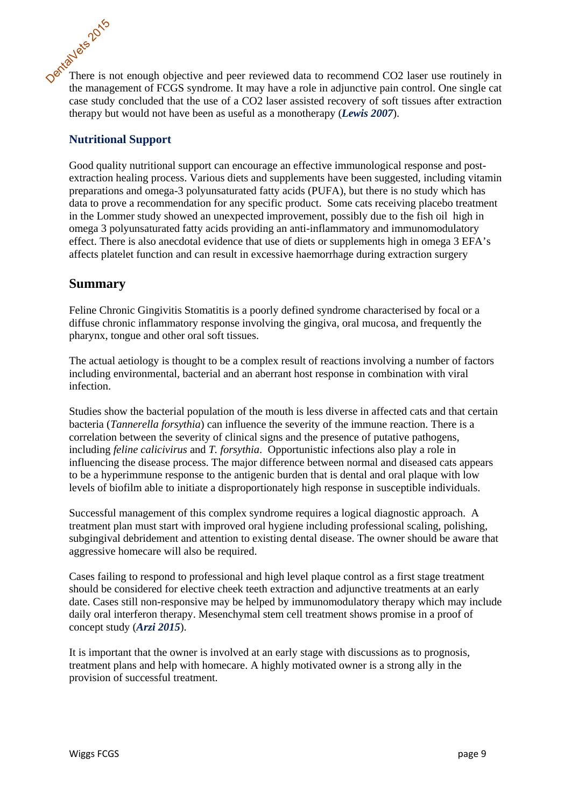There is not enough objective and peer reviewed data to recommend CO2 laser use routinely in the management of FCGS syndrome. It may have a role in adjunctive pain control. One single cat case study concluded that the use of a CO2 laser assisted recovery of soft tissues after extraction therapy but would not have been as useful as a monotherapy (*Lewis 2007*). DentalVets 2015

## **Nutritional Support**

Good quality nutritional support can encourage an effective immunological response and postextraction healing process. Various diets and supplements have been suggested, including vitamin preparations and omega-3 polyunsaturated fatty acids (PUFA), but there is no study which has data to prove a recommendation for any specific product. Some cats receiving placebo treatment in the Lommer study showed an unexpected improvement, possibly due to the fish oil high in omega 3 polyunsaturated fatty acids providing an anti-inflammatory and immunomodulatory effect. There is also anecdotal evidence that use of diets or supplements high in omega 3 EFA's affects platelet function and can result in excessive haemorrhage during extraction surgery

# **Summary**

Feline Chronic Gingivitis Stomatitis is a poorly defined syndrome characterised by focal or a diffuse chronic inflammatory response involving the gingiva, oral mucosa, and frequently the pharynx, tongue and other oral soft tissues.

The actual aetiology is thought to be a complex result of reactions involving a number of factors including environmental, bacterial and an aberrant host response in combination with viral infection.

Studies show the bacterial population of the mouth is less diverse in affected cats and that certain bacteria (*Tannerella forsythia*) can influence the severity of the immune reaction. There is a correlation between the severity of clinical signs and the presence of putative pathogens, including *feline calicivirus* and *T. forsythia*. Opportunistic infections also play a role in influencing the disease process. The major difference between normal and diseased cats appears to be a hyperimmune response to the antigenic burden that is dental and oral plaque with low levels of biofilm able to initiate a disproportionately high response in susceptible individuals.

Successful management of this complex syndrome requires a logical diagnostic approach. A treatment plan must start with improved oral hygiene including professional scaling, polishing, subgingival debridement and attention to existing dental disease. The owner should be aware that aggressive homecare will also be required.

Cases failing to respond to professional and high level plaque control as a first stage treatment should be considered for elective cheek teeth extraction and adjunctive treatments at an early date. Cases still non-responsive may be helped by immunomodulatory therapy which may include daily oral interferon therapy. Mesenchymal stem cell treatment shows promise in a proof of concept study (*Arzi 2015*).

It is important that the owner is involved at an early stage with discussions as to prognosis, treatment plans and help with homecare. A highly motivated owner is a strong ally in the provision of successful treatment.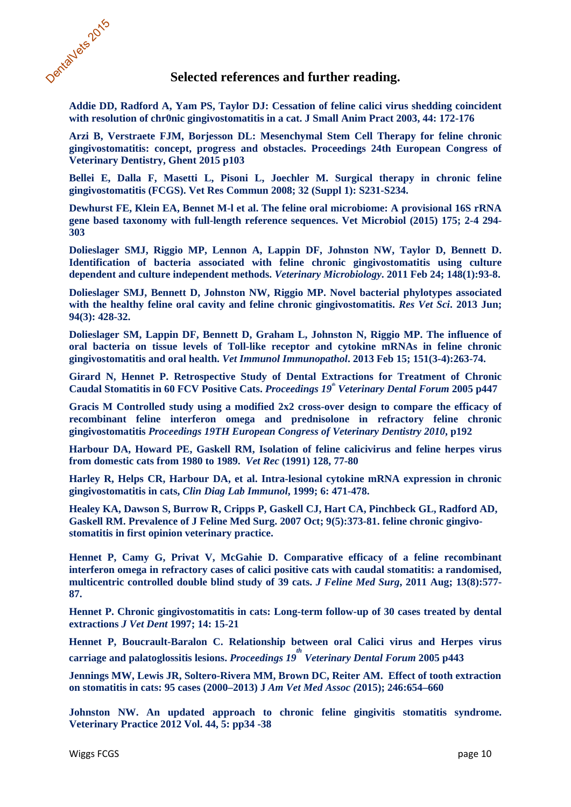

#### **Selected references and further reading.**

**Addie DD, Radford A, Yam PS, Taylor DJ: Cessation of feline calici virus shedding coincident with resolution of chr0nic gingivostomatitis in a cat. J Small Anim Pract 2003, 44: 172-176** 

**Arzi B, Verstraete FJM, Borjesson DL: Mesenchymal Stem Cell Therapy for feline chronic gingivostomatitis: concept, progress and obstacles. Proceedings 24th European Congress of Veterinary Dentistry, Ghent 2015 p103**

**Bellei E, Dalla F, Masetti L, Pisoni L, Joechler M. Surgical therapy in chronic feline gingivostomatitis (FCGS). Vet Res Commun 2008; 32 (Suppl 1): S231-S234.** 

**Dewhurst FE, Klein EA, Bennet M-l et al. The feline oral microbiome: A provisional 16S rRNA gene based taxonomy with full-length reference sequences. Vet Microbiol (2015) 175; 2-4 294- 303**

**Dolieslager SMJ, Riggio MP, Lennon A, Lappin DF, Johnston NW, Taylor D, Bennett D. Identification of bacteria associated with feline chronic gingivostomatitis using culture dependent and culture independent methods.** *Veterinary Microbiology***. 2011 Feb 24; 148(1):93-8.** 

**Dolieslager SMJ, Bennett D, Johnston NW, Riggio MP. Novel bacterial phylotypes associated with the healthy feline oral cavity and feline chronic gingivostomatitis.** *Res Vet Sci***. 2013 Jun; 94(3): 428-32.** 

**Dolieslager SM, Lappin DF, Bennett D, Graham L, Johnston N, Riggio MP. The influence of oral bacteria on tissue levels of Toll-like receptor and cytokine mRNAs in feline chronic gingivostomatitis and oral health.** *Vet Immunol Immunopathol***. 2013 Feb 15; 151(3-4):263-74.** 

**Girard N, Hennet P. Retrospective Study of Dental Extractions for Treatment of Chronic Caudal Stomatitis in 60 FCV Positive Cats.** *Proceedings 19th Veterinary Dental Forum* **2005 p447** 

**Gracis M Controlled study using a modified 2x2 cross-over design to compare the efficacy of recombinant feline interferon omega and prednisolone in refractory feline chronic gingivostomatitis** *Proceedings 19TH European Congress of Veterinary Dentistry 2010***, p192** 

**Harbour DA, Howard PE, Gaskell RM, Isolation of feline calicivirus and feline herpes virus from domestic cats from 1980 to 1989.** *Vet Rec* **(1991) 128, 77-80** 

**Harley R, Helps CR, Harbour DA, et al. Intra-lesional cytokine mRNA expression in chronic gingivostomatitis in cats,** *Clin Diag Lab Immunol***, 1999; 6: 471-478.** 

**Healey KA, Dawson S, Burrow R, Cripps P, Gaskell CJ, Hart CA, Pinchbeck GL, Radford AD, Gaskell RM. Prevalence of J Feline Med Surg. 2007 Oct; 9(5):373-81. feline chronic gingivostomatitis in first opinion veterinary practice.** 

**Hennet P, Camy G, Privat V, McGahie D. Comparative efficacy of a feline recombinant interferon omega in refractory cases of calici positive cats with caudal stomatitis: a randomised, multicentric controlled double blind study of 39 cats.** *J Feline Med Surg***, 2011 Aug; 13(8):577- 87.** 

**Hennet P. Chronic gingivostomatitis in cats: Long-term follow-up of 30 cases treated by dental extractions** *J Vet Dent* **1997; 14: 15-21** 

**Hennet P, Boucrault-Baralon C. Relationship between oral Calici virus and Herpes virus carriage and palatoglossitis lesions.** *Proceedings 19 th Veterinary Dental Forum* **2005 p443** 

**Jennings MW, Lewis JR, Soltero-Rivera MM, Brown DC, Reiter AM. Effect of tooth extraction on stomatitis in cats: 95 cases (2000–2013) J** *Am Vet Med Assoc (***2015); 246:654–660** 

**Johnston NW. An updated approach to chronic feline gingivitis stomatitis syndrome. Veterinary Practice 2012 Vol. 44, 5: pp34 -38**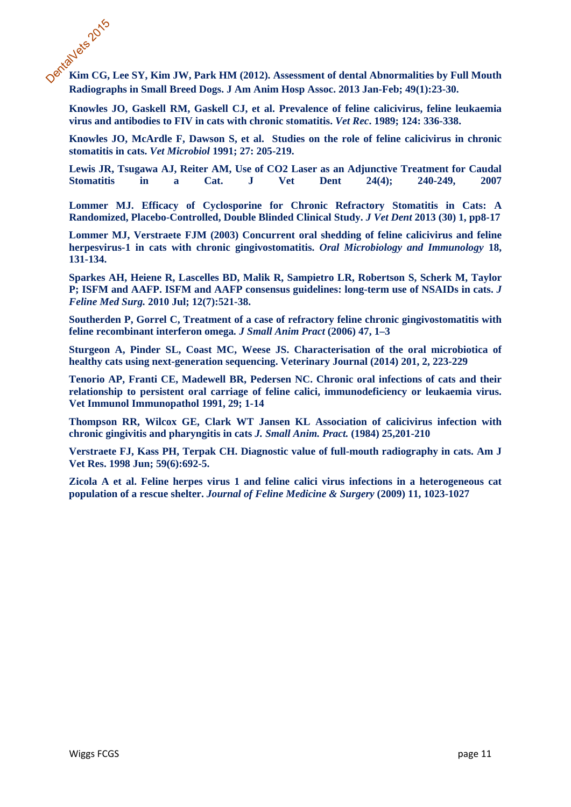**Kim CG, Lee SY, Kim JW, Park HM (2012). Assessment of dental Abnormalities by Full Mouth Radiographs in Small Breed Dogs. J Am Anim Hosp Assoc. 2013 Jan-Feb; 49(1):23-30.** DentalVets 2015

**Knowles JO, Gaskell RM, Gaskell CJ, et al. Prevalence of feline calicivirus, feline leukaemia virus and antibodies to FIV in cats with chronic stomatitis.** *Vet Rec***. 1989; 124: 336-338.** 

**Knowles JO, McArdle F, Dawson S, et al. Studies on the role of feline calicivirus in chronic stomatitis in cats.** *Vet Microbiol* **1991; 27: 205-219.** 

**Lewis JR, Tsugawa AJ, Reiter AM, Use of CO2 Laser as an Adjunctive Treatment for Caudal Stomatitis in a Cat. J Vet Dent 24(4); 240-249, 2007** 

**Lommer MJ. Efficacy of Cyclosporine for Chronic Refractory Stomatitis in Cats: A Randomized, Placebo-Controlled, Double Blinded Clinical Study.** *J Vet Dent* **2013 (30) 1, pp8-17** 

**Lommer MJ, Verstraete FJM (2003) Concurrent oral shedding of feline calicivirus and feline herpesvirus-1 in cats with chronic gingivostomatitis.** *Oral Microbiology and Immunology* **18, 131-134.** 

**Sparkes AH, Heiene R, Lascelles BD, Malik R, Sampietro LR, Robertson S, Scherk M, Taylor P; ISFM and AAFP. ISFM and AAFP consensus guidelines: long-term use of NSAIDs in cats.** *J Feline Med Surg.* **2010 Jul; 12(7):521-38.** 

**Southerden P, Gorrel C, Treatment of a case of refractory feline chronic gingivostomatitis with feline recombinant interferon omega***. J Small Anim Pract* **(2006) 47, 1–3** 

**Sturgeon A, Pinder SL, Coast MC, Weese JS. Characterisation of the oral microbiotica of healthy cats using next-generation sequencing. Veterinary Journal (2014) 201, 2, 223-229**

**Tenorio AP, Franti CE, Madewell BR, Pedersen NC. Chronic oral infections of cats and their relationship to persistent oral carriage of feline calici, immunodeficiency or leukaemia virus. Vet Immunol Immunopathol 1991, 29; 1-14** 

**Thompson RR, Wilcox GE, Clark WT Jansen KL Association of calicivirus infection with chronic gingivitis and pharyngitis in cats** *J. Small Anim. Pract.* **(1984) 25,201-210** 

**Verstraete FJ, Kass PH, Terpak CH. Diagnostic value of full-mouth radiography in cats. Am J Vet Res. 1998 Jun; 59(6):692-5.**

**Zicola A et al. Feline herpes virus 1 and feline calici virus infections in a heterogeneous cat population of a rescue shelter.** *Journal of Feline Medicine & Surgery* **(2009) 11, 1023-1027**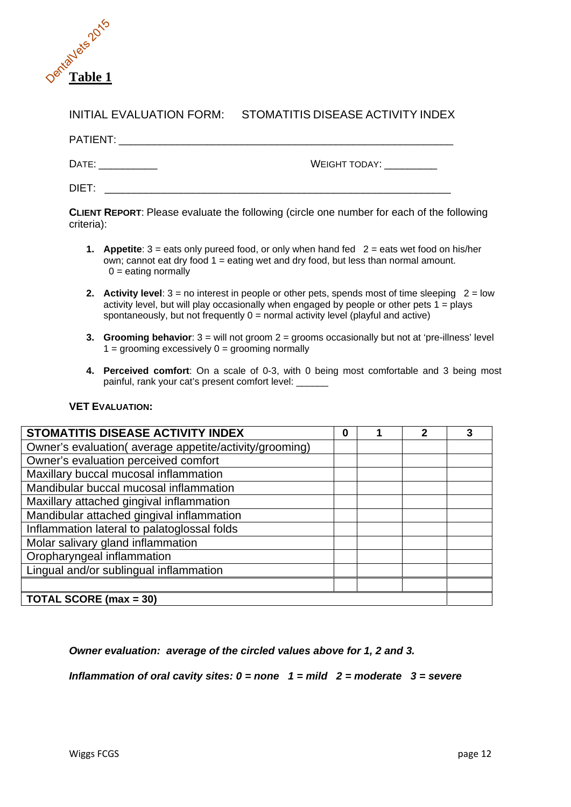

# INITIAL EVALUATION FORM: STOMATITIS DISEASE ACTIVITY INDEX

| PATIENT: |               |
|----------|---------------|
| DATE:    | WEIGHT TODAY: |

 $\mathsf{DIFT}$ :

**CLIENT REPORT**: Please evaluate the following (circle one number for each of the following criteria):

- **1.** Appetite:  $3 =$  eats only pureed food, or only when hand fed  $2 =$  eats wet food on his/her own; cannot eat dry food 1 = eating wet and dry food, but less than normal amount.  $0 =$  eating normally
- **2.** Activity level:  $3 =$  no interest in people or other pets, spends most of time sleeping  $2 =$  low activity level, but will play occasionally when engaged by people or other pets  $1 =$  plays spontaneously, but not frequently  $0 =$  normal activity level (playful and active)
- **3. Grooming behavior**: 3 = will not groom 2 = grooms occasionally but not at 'pre-illness' level  $1 =$  grooming excessively  $0 =$  grooming normally
- **4. Perceived comfort**: On a scale of 0-3, with 0 being most comfortable and 3 being most painful, rank your cat's present comfort level:

#### **VET EVALUATION:**

| STOMATITIS DISEASE ACTIVITY INDEX                      | 0 |  | 2 | 3 |
|--------------------------------------------------------|---|--|---|---|
| Owner's evaluation(average appetite/activity/grooming) |   |  |   |   |
| Owner's evaluation perceived comfort                   |   |  |   |   |
| Maxillary buccal mucosal inflammation                  |   |  |   |   |
| Mandibular buccal mucosal inflammation                 |   |  |   |   |
| Maxillary attached gingival inflammation               |   |  |   |   |
| Mandibular attached gingival inflammation              |   |  |   |   |
| Inflammation lateral to palatoglossal folds            |   |  |   |   |
| Molar salivary gland inflammation                      |   |  |   |   |
| Oropharyngeal inflammation                             |   |  |   |   |
| Lingual and/or sublingual inflammation                 |   |  |   |   |
|                                                        |   |  |   |   |
| <b>TOTAL SCORE (max = 30)</b>                          |   |  |   |   |

#### *Owner evaluation: average of the circled values above for 1, 2 and 3.*

*Inflammation of oral cavity sites: 0 = none 1 = mild 2 = moderate 3 = severe*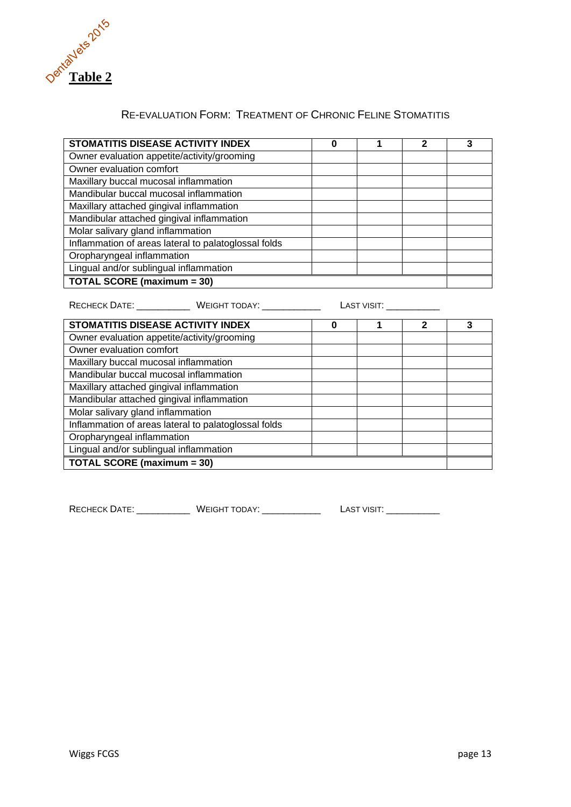

| STOMATITIS DISEASE ACTIVITY INDEX                    | 0                      |                                                                                                                                                                                                                                | 2 | 3 |
|------------------------------------------------------|------------------------|--------------------------------------------------------------------------------------------------------------------------------------------------------------------------------------------------------------------------------|---|---|
| Owner evaluation appetite/activity/grooming          |                        |                                                                                                                                                                                                                                |   |   |
| Owner evaluation comfort                             |                        |                                                                                                                                                                                                                                |   |   |
| Maxillary buccal mucosal inflammation                |                        |                                                                                                                                                                                                                                |   |   |
| Mandibular buccal mucosal inflammation               |                        |                                                                                                                                                                                                                                |   |   |
| Maxillary attached gingival inflammation             |                        |                                                                                                                                                                                                                                |   |   |
| Mandibular attached gingival inflammation            |                        |                                                                                                                                                                                                                                |   |   |
| Molar salivary gland inflammation                    |                        |                                                                                                                                                                                                                                |   |   |
| Inflammation of areas lateral to palatoglossal folds |                        |                                                                                                                                                                                                                                |   |   |
| Oropharyngeal inflammation                           |                        |                                                                                                                                                                                                                                |   |   |
| Lingual and/or sublingual inflammation               |                        |                                                                                                                                                                                                                                |   |   |
| <b>TOTAL SCORE (maximum = 30)</b>                    |                        |                                                                                                                                                                                                                                |   |   |
| RECHECK DATE: WEIGHT TODAY:                          |                        | LAST VISIT: International Section of the Second Section of the Second Section of the Second Section of the Second Second Second Second Second Second Second Second Second Second Second Second Second Second Second Second Sec |   |   |
| STOMATITIS DISEASE ACTIVITY INDEX                    | $\mathbf{2}$<br>1<br>0 |                                                                                                                                                                                                                                | 3 |   |
| Owner evaluation appetite/activity/grooming          |                        |                                                                                                                                                                                                                                |   |   |
| Owner evaluation comfort                             |                        |                                                                                                                                                                                                                                |   |   |
| Maxillary buccal mucosal inflammation                |                        |                                                                                                                                                                                                                                |   |   |

#### RE-EVALUATION FORM: TREATMENT OF CHRONIC FELINE STOMATITIS

RECHECK DATE: WEIGHT TODAY: LAST VISIT:

Mandibular buccal mucosal inflammation Maxillary attached gingival inflammation Mandibular attached gingival inflammation

Inflammation of areas lateral to palatoglossal folds

Molar salivary gland inflammation

Lingual and/or sublingual inflammation **TOTAL SCORE (maximum = 30)** 

Oropharyngeal inflammation